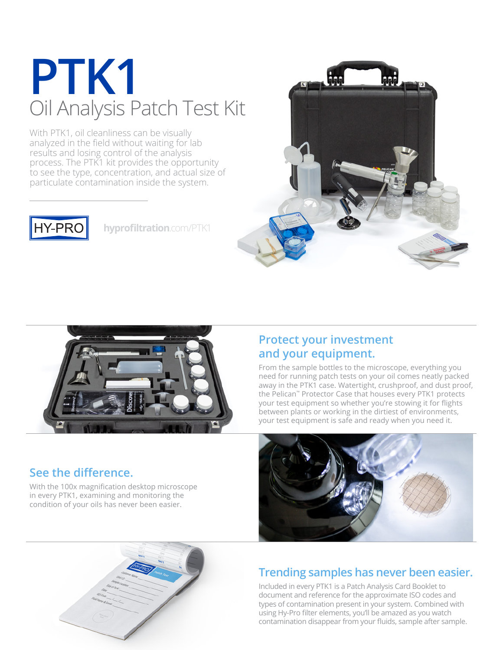## **PTK1** Oil Analysis Patch Test Kit

With PTK1, oil cleanliness can be visually analyzed in the field without waiting for lab results and losing control of the analysis process. The PTK1 kit provides the opportunity to see the type, concentration, and actual size of particulate contamination inside the system.



**[hyprofiltration](http://www.hyprofiltration.com/PTK1)**.com/PTK1



### **See the difference.**

With the 100x magnification desktop microscope in every PTK1, examining and monitoring the condition of your oils has never been easier.

#### **Protect your investment and your equipment.**

From the sample bottles to the microscope, everything you need for running patch tests on your oil comes neatly packed away in the PTK1 case. Watertight, crushproof, and dust proof, the Pelican™ Protector Case that houses every PTK1 protects your test equipment so whether you're stowing it for flights between plants or working in the dirtiest of environments, your test equipment is safe and ready when you need it.





### **Trending samples has never been easier.**

Included in every PTK1 is a Patch Analysis Card Booklet to document and reference for the approximate ISO codes and types of contamination present in your system. Combined with using Hy-Pro filter elements, you'll be amazed as you watch contamination disappear from your fluids, sample after sample.